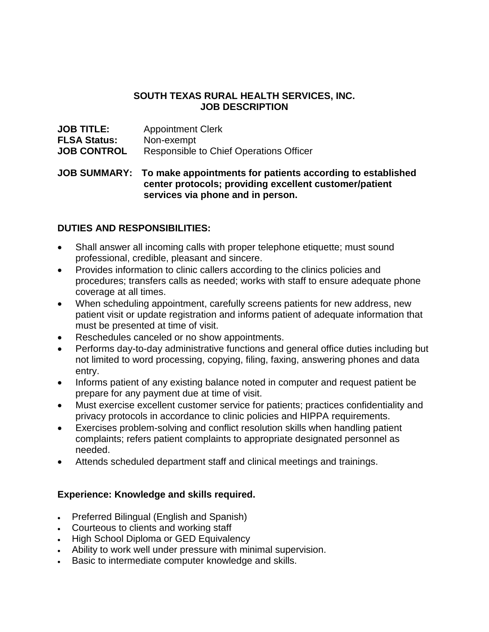## **SOUTH TEXAS RURAL HEALTH SERVICES, INC. JOB DESCRIPTION**

| <b>JOB TITLE:</b>   | <b>Appointment Clerk</b>                |
|---------------------|-----------------------------------------|
| <b>FLSA Status:</b> | Non-exempt                              |
| <b>JOB CONTROL</b>  | Responsible to Chief Operations Officer |

**JOB SUMMARY: To make appointments for patients according to established center protocols; providing excellent customer/patient services via phone and in person.** 

## **DUTIES AND RESPONSIBILITIES:**

- Shall answer all incoming calls with proper telephone etiquette; must sound professional, credible, pleasant and sincere.
- Provides information to clinic callers according to the clinics policies and procedures; transfers calls as needed; works with staff to ensure adequate phone coverage at all times.
- When scheduling appointment, carefully screens patients for new address, new patient visit or update registration and informs patient of adequate information that must be presented at time of visit.
- Reschedules canceled or no show appointments.
- Performs day-to-day administrative functions and general office duties including but not limited to word processing, copying, filing, faxing, answering phones and data entry.
- Informs patient of any existing balance noted in computer and request patient be prepare for any payment due at time of visit.
- Must exercise excellent customer service for patients; practices confidentiality and privacy protocols in accordance to clinic policies and HIPPA requirements.
- Exercises problem-solving and conflict resolution skills when handling patient complaints; refers patient complaints to appropriate designated personnel as needed.
- Attends scheduled department staff and clinical meetings and trainings.

## **Experience: Knowledge and skills required.**

- Preferred Bilingual (English and Spanish)
- Courteous to clients and working staff
- High School Diploma or GED Equivalency
- Ability to work well under pressure with minimal supervision.
- Basic to intermediate computer knowledge and skills.